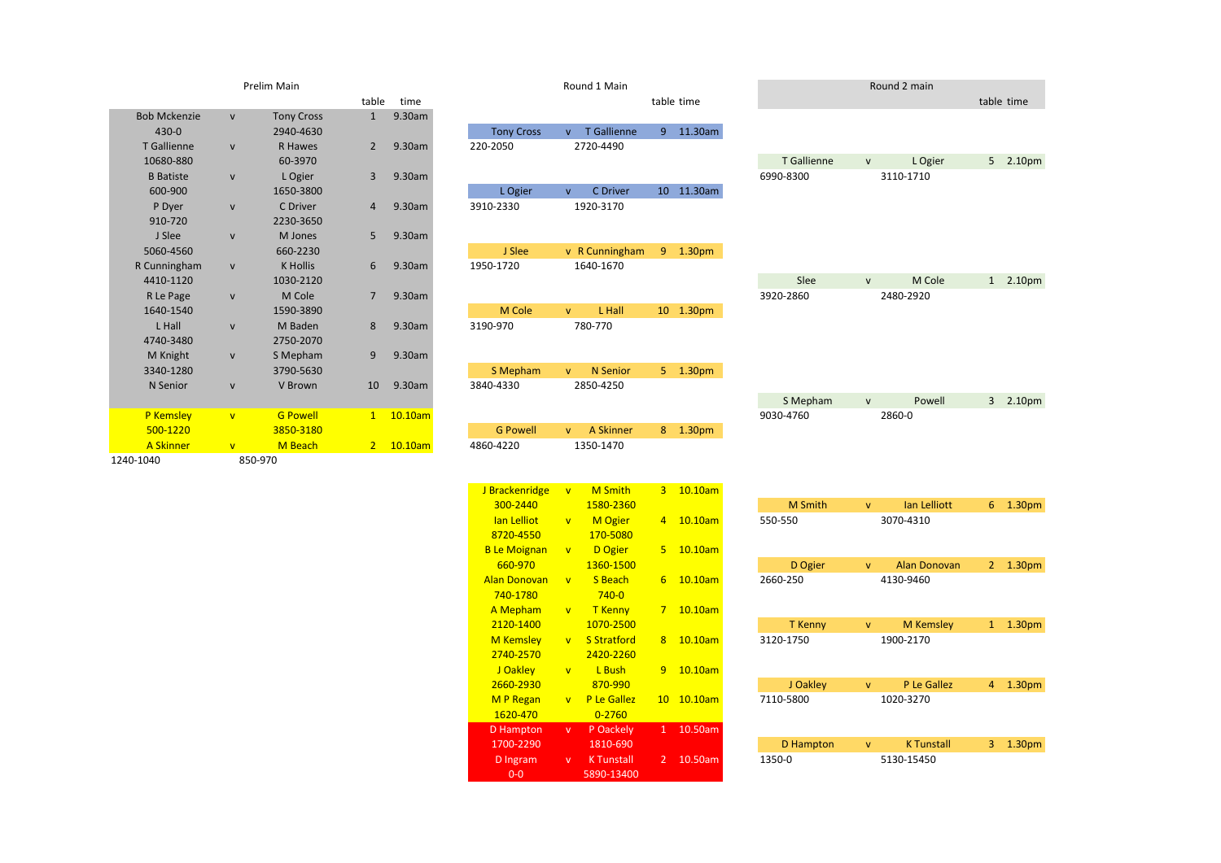|                     |                         | Prelim Main       |                |         |                   |              | Round 1 Main       |    |            |
|---------------------|-------------------------|-------------------|----------------|---------|-------------------|--------------|--------------------|----|------------|
|                     |                         |                   | table          | time    |                   |              |                    |    | table time |
| <b>Bob Mckenzie</b> | $\mathsf{V}$            | <b>Tony Cross</b> | $\mathbf{1}$   | 9.30am  |                   |              |                    |    |            |
| $430 - 0$           |                         | 2940-4630         |                |         | <b>Tony Cross</b> | $\mathbf{v}$ | <b>T</b> Gallienne | 9  | 11.30am    |
| <b>T</b> Gallienne  | $\mathsf{V}$            | <b>R</b> Hawes    | $\overline{2}$ | 9.30am  | 220-2050          |              | 2720-4490          |    |            |
| 10680-880           |                         | 60-3970           |                |         |                   |              |                    |    |            |
| <b>B</b> Batiste    | $\mathsf{V}$            | L Ogier           | 3              | 9.30am  |                   |              |                    |    |            |
| 600-900             |                         | 1650-3800         |                |         | L Ogier           | $\mathbf{v}$ | <b>C</b> Driver    | 10 | 11.30am    |
| P Dyer              | $\mathsf{v}$            | C Driver          | $\overline{4}$ | 9.30am  | 3910-2330         |              | 1920-3170          |    |            |
| 910-720             |                         | 2230-3650         |                |         |                   |              |                    |    |            |
| J Slee              | $\mathsf{v}$            | M Jones           | 5              | 9.30am  |                   |              |                    |    |            |
| 5060-4560           |                         | 660-2230          |                |         | J Slee            |              | v R Cunningham     | 9  | 1.30pm     |
| R Cunningham        | $\mathsf{v}$            | <b>K</b> Hollis   | 6              | 9.30am  | 1950-1720         |              | 1640-1670          |    |            |
| 4410-1120           |                         | 1030-2120         |                |         |                   |              |                    |    |            |
| R Le Page           | $\mathsf{V}$            | M Cole            | $\overline{7}$ | 9.30am  |                   |              |                    |    |            |
| 1640-1540           |                         | 1590-3890         |                |         | M Cole            | $\mathsf{V}$ | L Hall             | 10 | 1.30pm     |
| L Hall              | $\mathsf{V}$            | M Baden           | 8              | 9.30am  | 3190-970          |              | 780-770            |    |            |
| 4740-3480           |                         | 2750-2070         |                |         |                   |              |                    |    |            |
| M Knight            | $\mathsf{V}$            | S Mepham          | 9              | 9.30am  |                   |              |                    |    |            |
| 3340-1280           |                         | 3790-5630         |                |         | S Mepham          | $\mathbf{V}$ | <b>N</b> Senior    | 5  | 1.30pm     |
| N Senior            | $\mathsf{v}$            | V Brown           | 10             | 9.30am  | 3840-4330         |              | 2850-4250          |    |            |
|                     |                         |                   |                |         |                   |              |                    |    |            |
| <b>P</b> Kemsley    | $\overline{\mathsf{v}}$ | <b>G Powell</b>   | $\mathbf{1}$   | 10.10am |                   |              |                    |    |            |
| 500-1220            |                         | 3850-3180         |                |         | <b>G Powell</b>   | $\mathbf{V}$ | A Skinner          | 8  | 1.30pm     |
| <b>A Skinner</b>    | $\mathbf{v}$            | M Beach           | $\overline{2}$ | 10.10am | 4860-4220         |              | 1350-1470          |    |            |
| 1240-1040           |                         | 850-970           |                |         |                   |              |                    |    |            |

|                  |              | Prelim Main       |                |         |                   |              | Round 1 Main    |                |                    |             |              | Round 2 main |            |
|------------------|--------------|-------------------|----------------|---------|-------------------|--------------|-----------------|----------------|--------------------|-------------|--------------|--------------|------------|
|                  |              |                   | table          | time    |                   |              |                 |                | table time         |             |              |              | table time |
| ob Mckenzie      | $\mathsf{v}$ | <b>Tony Cross</b> | $\mathbf{1}$   | 9.30am  |                   |              |                 |                |                    |             |              |              |            |
| 430-0            |              | 2940-4630         |                |         | <b>Tony Cross</b> | $\mathsf{V}$ | T Gallienne     | 9 <sub>o</sub> | 11.30am            |             |              |              |            |
| T Gallienne      | $\mathsf{v}$ | R Hawes           | $\mathbf{2}$   | 9.30am  | 220-2050          |              | 2720-4490       |                |                    |             |              |              |            |
| 10680-880        |              | 60-3970           |                |         |                   |              |                 |                |                    | T Gallienne | $\mathsf{V}$ | L Ogier      | 5 2.10pm   |
| <b>B</b> Batiste | V            | L Ogier           | 3              | 9.30am  |                   |              |                 |                |                    | 6990-8300   |              | 3110-1710    |            |
| 600-900          |              | 1650-3800         |                |         | L Ogier           | $\mathsf{V}$ | <b>C</b> Driver |                | 10 11.30am         |             |              |              |            |
| P Dyer           | $\mathsf{V}$ | C Driver          | 4              | 9.30am  | 3910-2330         |              | 1920-3170       |                |                    |             |              |              |            |
| 910-720          |              | 2230-3650         |                |         |                   |              |                 |                |                    |             |              |              |            |
| J Slee           | $\mathsf{V}$ | M Jones           | 5              | 9.30am  |                   |              |                 |                |                    |             |              |              |            |
| 5060-4560        |              | 660-2230          |                |         | J Slee            |              | v R Cunningham  | 9 <sup>1</sup> | 1.30 <sub>pm</sub> |             |              |              |            |
| Cunningham       | ${\sf V}$    | <b>K</b> Hollis   | 6              | 9.30am  | 1950-1720         |              | 1640-1670       |                |                    |             |              |              |            |
| 4410-1120        |              | 1030-2120         |                |         |                   |              |                 |                |                    | Slee        | $\mathsf{V}$ | M Cole       | 1 2.10pm   |
| R Le Page        | $\mathsf{v}$ | M Cole            | $\overline{7}$ | 9.30am  |                   |              |                 |                |                    | 3920-2860   |              | 2480-2920    |            |
| 1640-1540        |              | 1590-3890         |                |         | M Cole            | $\mathbf{V}$ | L Hall          |                | 10 1.30pm          |             |              |              |            |
| L Hall           | $\mathsf{V}$ | M Baden           | 8              | 9.30am  | 3190-970          |              | 780-770         |                |                    |             |              |              |            |
| 4740-3480        |              | 2750-2070         |                |         |                   |              |                 |                |                    |             |              |              |            |
| M Knight         | $\mathsf{V}$ | S Mepham          | 9              | 9.30am  |                   |              |                 |                |                    |             |              |              |            |
| 3340-1280        |              | 3790-5630         |                |         | S Mepham          | $\mathbf{V}$ | N Senior        | $5 -$          | 1.30pm             |             |              |              |            |
| N Senior         | $\mathsf{V}$ | V Brown           | 10             | 9.30am  | 3840-4330         |              | 2850-4250       |                |                    |             |              |              |            |
|                  |              |                   |                |         |                   |              |                 |                |                    | S Mepham    | $\mathsf{V}$ | Powell       | 3 2.10pm   |
| P Kemsley        | $\mathbf{v}$ | <b>G Powell</b>   | $1 -$          | 10.10am |                   |              |                 |                |                    | 9030-4760   |              | 2860-0       |            |
| 500-1220         |              | 3850-3180         |                |         | <b>G Powell</b>   | $\mathsf{V}$ | A Skinner       |                | 8 1.30pm           |             |              |              |            |
| <b>A Skinner</b> | V            | M Beach           | $2 -$          | 10.10am | 4860-4220         |              | 1350-1470       |                |                    |             |              |              |            |
| 040              |              | 850-970           |                |         |                   |              |                 |                |                    |             |              |              |            |
|                  |              |                   |                |         |                   |              |                 |                |                    |             |              |              |            |

| J Brackenridge      | $\overline{\mathsf{v}}$ | <b>M</b> Smith     | 3              | 10.10am |                  |              |                 |
|---------------------|-------------------------|--------------------|----------------|---------|------------------|--------------|-----------------|
| 300-2440            |                         | 1580-2360          |                |         | <b>M</b> Smith   | $\mathsf{V}$ | lan Lelli       |
| lan Lelliot         | $\overline{\mathsf{v}}$ | <b>M</b> Ogier     | $\overline{4}$ | 10.10am | 550-550          |              | 3070-4310       |
| 8720-4550           |                         | 170-5080           |                |         |                  |              |                 |
| <b>B</b> Le Moignan | $\overline{\mathsf{v}}$ | D Ogier            | 5.             | 10.10am |                  |              |                 |
| 660-970             |                         | 1360-1500          |                |         | D Ogier          | $\mathbf{V}$ | <b>Alan Don</b> |
| <b>Alan Donovan</b> | $\overline{V}$          | S Beach            | 6              | 10.10am | 2660-250         |              | 4130-9460       |
| 740-1780            |                         | $740 - 0$          |                |         |                  |              |                 |
| A Mepham            | $\overline{\mathsf{v}}$ | <b>T</b> Kenny     | 7              | 10.10am |                  |              |                 |
| 2120-1400           |                         | 1070-2500          |                |         | T Kenny          | $\mathsf{v}$ | M Kem:          |
| <b>M</b> Kemsley    | $\overline{\mathsf{v}}$ | <b>S</b> Stratford | 8              | 10.10am | 3120-1750        |              | 1900-2170       |
| 2740-2570           |                         | 2420-2260          |                |         |                  |              |                 |
| J Oakley            | $\overline{\mathsf{v}}$ | L Bush             | 9              | 10.10am |                  |              |                 |
| 2660-2930           |                         | 870-990            |                |         | J Oakley         | $\mathsf{v}$ | P Le Ga         |
| <b>MP</b> Regan     | $\overline{\mathsf{v}}$ | P Le Gallez        | 10             | 10.10am | 7110-5800        |              | 1020-3270       |
| 1620-470            |                         | $0 - 2760$         |                |         |                  |              |                 |
| D Hampton           | v.                      | P Oackely          | $\mathbf{1}$   | 10.50am |                  |              |                 |
| 1700-2290           |                         | 1810-690           |                |         | <b>D</b> Hampton | $\mathsf{v}$ | <b>K</b> Tuns   |
| D Ingram            | $\mathsf{v}$            | <b>K</b> Tunstall  | $\overline{2}$ | 10.50am | 1350-0           |              | 5130-15450      |
| $0-0$               |                         | 5890-13400         |                |         |                  |              |                 |

| 300-2440         |                         | 1580-2360          |                 |         | <b>M</b> Smith   | v            | lan Lelliott        | 6              | 1.30 <sub>pm</sub> |
|------------------|-------------------------|--------------------|-----------------|---------|------------------|--------------|---------------------|----------------|--------------------|
| lan Lelliot      | $\overline{V}$          | <b>M</b> Ogier     | $\overline{4}$  | 10.10am | 550-550          |              | 3070-4310           |                |                    |
| 8720-4550        |                         | 170-5080           |                 |         |                  |              |                     |                |                    |
| Le Moignan       | $\overline{\mathsf{v}}$ | D Ogier            | 5.              | 10.10am |                  |              |                     |                |                    |
| 660-970          |                         | 1360-1500          |                 |         | D Ogier          | $\mathsf{v}$ | <b>Alan Donovan</b> | $\overline{2}$ | 1.30 <sub>pm</sub> |
| an Donovan       | $\overline{\mathsf{v}}$ | S Beach            | 6               | 10.10am | 2660-250         |              | 4130-9460           |                |                    |
| 740-1780         |                         | $740 - 0$          |                 |         |                  |              |                     |                |                    |
| A Mepham         | $\mathbf{v}$            | <b>T</b> Kenny     | $\overline{7}$  | 10.10am |                  |              |                     |                |                    |
| 2120-1400        |                         | 1070-2500          |                 |         | <b>T</b> Kenny   | $\mathsf{v}$ | <b>M</b> Kemsley    | 1              | 1.30 <sub>pm</sub> |
| M Kemsley        | $\overline{\mathsf{v}}$ | <b>S</b> Stratford | 8               | 10.10am | 3120-1750        |              | 1900-2170           |                |                    |
| 2740-2570        |                         | 2420-2260          |                 |         |                  |              |                     |                |                    |
| J Oakley         | $\overline{\mathsf{v}}$ | L Bush             | 9               | 10.10am |                  |              |                     |                |                    |
| 2660-2930        |                         | 870-990            |                 |         | J Oakley         | $\mathsf{v}$ | P Le Gallez         | 4              | 1.30 <sub>pm</sub> |
| <b>M P Regan</b> | $\overline{\mathsf{v}}$ | P Le Gallez        | 10 <sup>°</sup> | 10.10am | 7110-5800        |              | 1020-3270           |                |                    |
| 1620-470         |                         | $0 - 2760$         |                 |         |                  |              |                     |                |                    |
| D Hampton        | v                       | P Oackely          | 1               | 10.50am |                  |              |                     |                |                    |
| 1700-2290        |                         | 1810-690           |                 |         | <b>D</b> Hampton | $\mathsf{v}$ | <b>K</b> Tunstall   | 3              | 1.30 <sub>pm</sub> |
| D Ingram         | $\mathsf{v}$            | <b>K</b> Tunstall  | $\overline{2}$  | 10.50am | 1350-0           |              | 5130-15450          |                |                    |
|                  |                         |                    |                 |         |                  |              |                     |                |                    |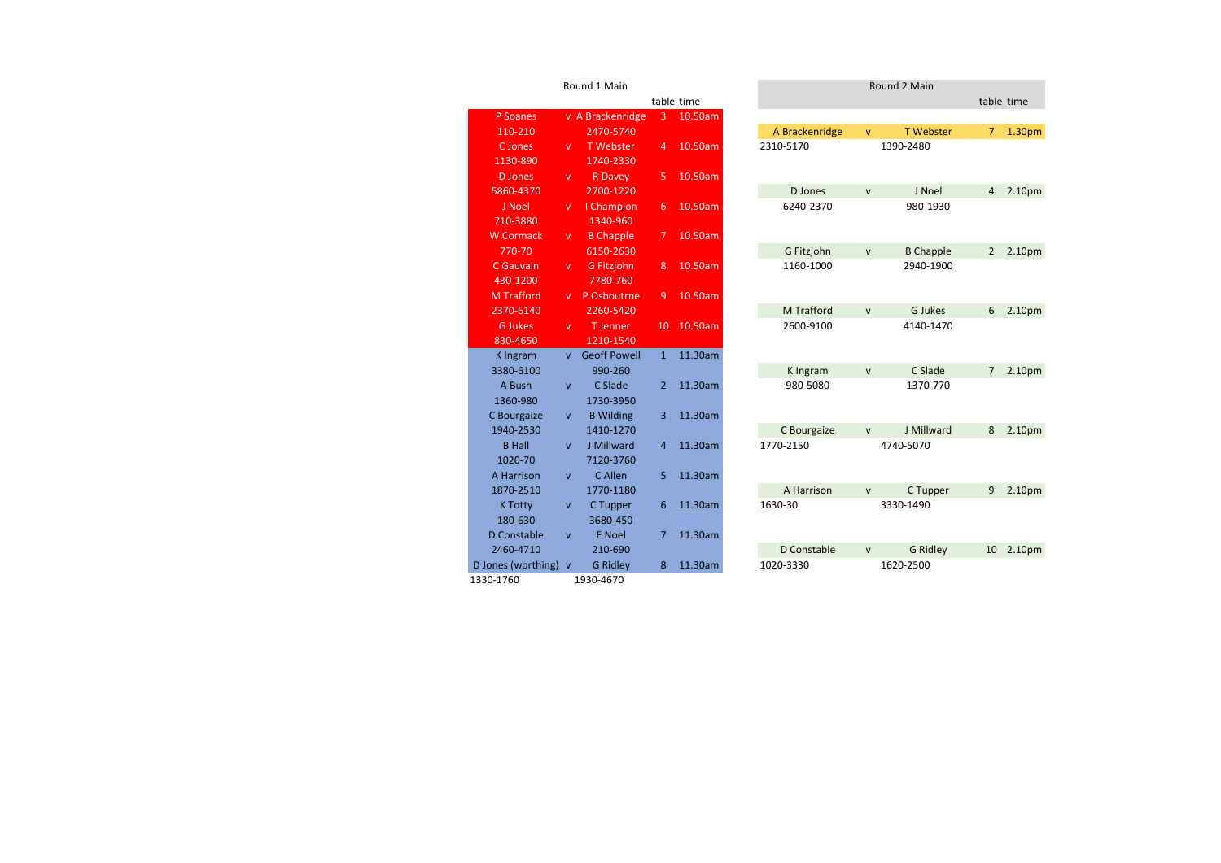|                    |                         | Round 1 Main        |                |            |                |              | Round 2 Main     |
|--------------------|-------------------------|---------------------|----------------|------------|----------------|--------------|------------------|
|                    |                         |                     |                | table time |                |              |                  |
| P Soanes           |                         | v A Brackenridge    | 3              | 10.50am    |                |              |                  |
| 110-210            |                         | 2470-5740           |                |            | A Brackenridge | $\mathbf{v}$ | <b>T</b> Webster |
| C Jones            | $\mathbf{v}$            | <b>T</b> Webster    | $\overline{4}$ | 10.50am    | 2310-5170      |              | 1390-2480        |
| 1130-890           |                         | 1740-2330           |                |            |                |              |                  |
| <b>D</b> Jones     | $\mathsf{v}$            | <b>R</b> Davey      | 5              | 10.50am    |                |              |                  |
| 5860-4370          |                         | 2700-1220           |                |            | D Jones        | $\mathsf{v}$ | J Noel           |
| J Noel             | v                       | I Champion          | 6              | 10.50am    | 6240-2370      |              | 980-1930         |
| 710-3880           |                         | 1340-960            |                |            |                |              |                  |
| <b>W</b> Cormack   | v                       | <b>B</b> Chapple    | $\overline{7}$ | 10.50am    |                |              |                  |
| 770-70             |                         | 6150-2630           |                |            | G Fitzjohn     | $\mathsf{v}$ | <b>B</b> Chapple |
| C Gauvain          | $\mathbf{v}$            | G Fitzjohn          | 8              | 10.50am    | 1160-1000      |              | 2940-1900        |
| 430-1200           |                         | 7780-760            |                |            |                |              |                  |
| <b>M</b> Trafford  | v                       | P Osboutrne         | 9              | 10.50am    |                |              |                  |
| 2370-6140          |                         | 2260-5420           |                |            | M Trafford     |              | G Jukes          |
| <b>G</b> Jukes     | v                       | T Jenner            | 10             | 10.50am    | 2600-9100      |              | 4140-1470        |
| 830-4650           |                         | 1210-1540           |                |            |                |              |                  |
| <b>K</b> Ingram    | $\overline{V}$          | <b>Geoff Powell</b> | $\overline{1}$ | 11.30am    |                |              |                  |
| 3380-6100          |                         | 990-260             |                |            | K Ingram       | $\mathsf{v}$ | C Slade          |
| A Bush             | V                       | C Slade             | $\overline{2}$ | 11.30am    | 980-5080       |              | 1370-770         |
| 1360-980           |                         | 1730-3950           |                |            |                |              |                  |
| C Bourgaize        | V                       | <b>B</b> Wilding    | 3              | 11.30am    |                |              |                  |
| 1940-2530          |                         | 1410-1270           |                |            | C Bourgaize    | $\mathsf{v}$ | J Millward       |
| <b>B</b> Hall      | $\overline{\mathsf{v}}$ | J Millward          | $\overline{4}$ | 11.30am    | 1770-2150      |              | 4740-5070        |
| 1020-70            |                         | 7120-3760           |                |            |                |              |                  |
| A Harrison         | $\mathsf{v}$            | C Allen             | 5              | 11.30am    |                |              |                  |
| 1870-2510          |                         | 1770-1180           |                |            | A Harrison     | $\mathsf{v}$ | C Tupper         |
| <b>K Totty</b>     | V                       | C Tupper            | 6              | 11.30am    | 1630-30        |              | 3330-1490        |
| 180-630            |                         | 3680-450            |                |            |                |              |                  |
| D Constable        | $\overline{\mathsf{v}}$ | <b>E</b> Noel       | $\overline{7}$ | 11.30am    |                |              |                  |
| 2460-4710          |                         | 210-690             |                |            | D Constable    | $\mathsf{v}$ | <b>G Ridley</b>  |
| D Jones (worthing) | $\mathbf{v}$            | <b>G Ridley</b>     | 8              | 11.30am    | 1020-3330      |              | 1620-2500        |
| 1330-1760          |                         | 1930-4670           |                |            |                |              |                  |

| Round 1 Main     |                         |                     |                |            |  | Round 2 Main   |              |                  |                |                    |  |  |  |
|------------------|-------------------------|---------------------|----------------|------------|--|----------------|--------------|------------------|----------------|--------------------|--|--|--|
|                  |                         |                     |                | table time |  |                |              |                  | table time     |                    |  |  |  |
| P Soanes         |                         | v A Brackenridge    | 3              | 10.50am    |  |                |              |                  |                |                    |  |  |  |
| 110-210          |                         | 2470-5740           |                |            |  | A Brackenridge | $\mathsf{v}$ | <b>T</b> Webster | 7              | 1.30 <sub>pm</sub> |  |  |  |
| C Jones          | v                       | <b>T</b> Webster    | 4              | 10.50am    |  | 2310-5170      |              | 1390-2480        |                |                    |  |  |  |
| 1130-890         |                         | 1740-2330           |                |            |  |                |              |                  |                |                    |  |  |  |
| <b>D</b> Jones   | v.                      | <b>R</b> Davey      | 5              | 10.50am    |  |                |              |                  |                |                    |  |  |  |
| 5860-4370        |                         | 2700-1220           |                |            |  | D Jones        | $\mathsf{v}$ | J Noel           | 4              | 2.10 <sub>pm</sub> |  |  |  |
| J Noel           | v                       | I Champion          | 6              | 10.50am    |  | 6240-2370      |              | 980-1930         |                |                    |  |  |  |
| 710-3880         |                         | 1340-960            |                |            |  |                |              |                  |                |                    |  |  |  |
| <b>N</b> Cormack | v                       | <b>B</b> Chapple    | $\overline{7}$ | 10.50am    |  |                |              |                  |                |                    |  |  |  |
| 770-70           |                         | 6150-2630           |                |            |  | G Fitzjohn     | $\mathsf{v}$ | <b>B</b> Chapple | $\overline{2}$ | 2.10 <sub>pm</sub> |  |  |  |
| C Gauvain        | v                       | <b>G</b> Fitzjohn   | 8              | 10.50am    |  | 1160-1000      |              | 2940-1900        |                |                    |  |  |  |
| 430-1200         |                         | 7780-760            |                |            |  |                |              |                  |                |                    |  |  |  |
| M Trafford       | v.                      | P Osboutrne         | 9              | 10.50am    |  |                |              |                  |                |                    |  |  |  |
| 2370-6140        |                         | 2260-5420           |                |            |  | M Trafford     | $\mathsf{v}$ | <b>G</b> Jukes   | 6              | 2.10pm             |  |  |  |
| <b>G</b> Jukes   | v.                      | <b>T</b> Jenner     | 10             | 10.50am    |  | 2600-9100      |              | 4140-1470        |                |                    |  |  |  |
| 830-4650         |                         | 1210-1540           |                |            |  |                |              |                  |                |                    |  |  |  |
| K Ingram         | <b>V</b>                | <b>Geoff Powell</b> | $\mathbf{1}$   | 11.30am    |  |                |              |                  |                |                    |  |  |  |
| 3380-6100        |                         | 990-260             |                |            |  | K Ingram       | $\mathsf{v}$ | C Slade          | 7              | 2.10 <sub>pm</sub> |  |  |  |
| A Bush           | $\mathsf{V}$            | C Slade             | 2              | 11.30am    |  | 980-5080       |              | 1370-770         |                |                    |  |  |  |
| 1360-980         |                         | 1730-3950           |                |            |  |                |              |                  |                |                    |  |  |  |
| C Bourgaize      | $\mathsf{v}$            | <b>B</b> Wilding    | 3              | 11.30am    |  |                |              |                  |                |                    |  |  |  |
| 1940-2530        |                         | 1410-1270           |                |            |  | C Bourgaize    | $\mathsf{V}$ | J Millward       | 8              | 2.10pm             |  |  |  |
| <b>B</b> Hall    | $\overline{\mathsf{v}}$ | J Millward          | 4              | 11.30am    |  | 1770-2150      |              | 4740-5070        |                |                    |  |  |  |
| 1020-70          |                         | 7120-3760           |                |            |  |                |              |                  |                |                    |  |  |  |
| A Harrison       | $\mathsf{v}$            | C Allen             | 5              | 11.30am    |  |                |              |                  |                |                    |  |  |  |
| 1870-2510        |                         | 1770-1180           |                |            |  | A Harrison     | $\mathsf{v}$ | C Tupper         | 9              | 2.10 <sub>pm</sub> |  |  |  |
| <b>K Totty</b>   | V                       | C Tupper            | 6              | 11.30am    |  | 1630-30        |              | 3330-1490        |                |                    |  |  |  |
| 180-630          |                         | 3680-450            |                |            |  |                |              |                  |                |                    |  |  |  |
| Constable        | $\mathsf{V}$            | <b>E</b> Noel       | 7              | 11.30am    |  |                |              |                  |                |                    |  |  |  |
| 2460-4710        |                         | 210-690             |                |            |  | D Constable    | $\mathsf{V}$ | <b>G Ridley</b>  | 10             | 2.10 <sub>pm</sub> |  |  |  |
| nes (worthing) v |                         | <b>G Ridley</b>     | 8              | 11.30am    |  | 1020-3330      |              | 1620-2500        |                |                    |  |  |  |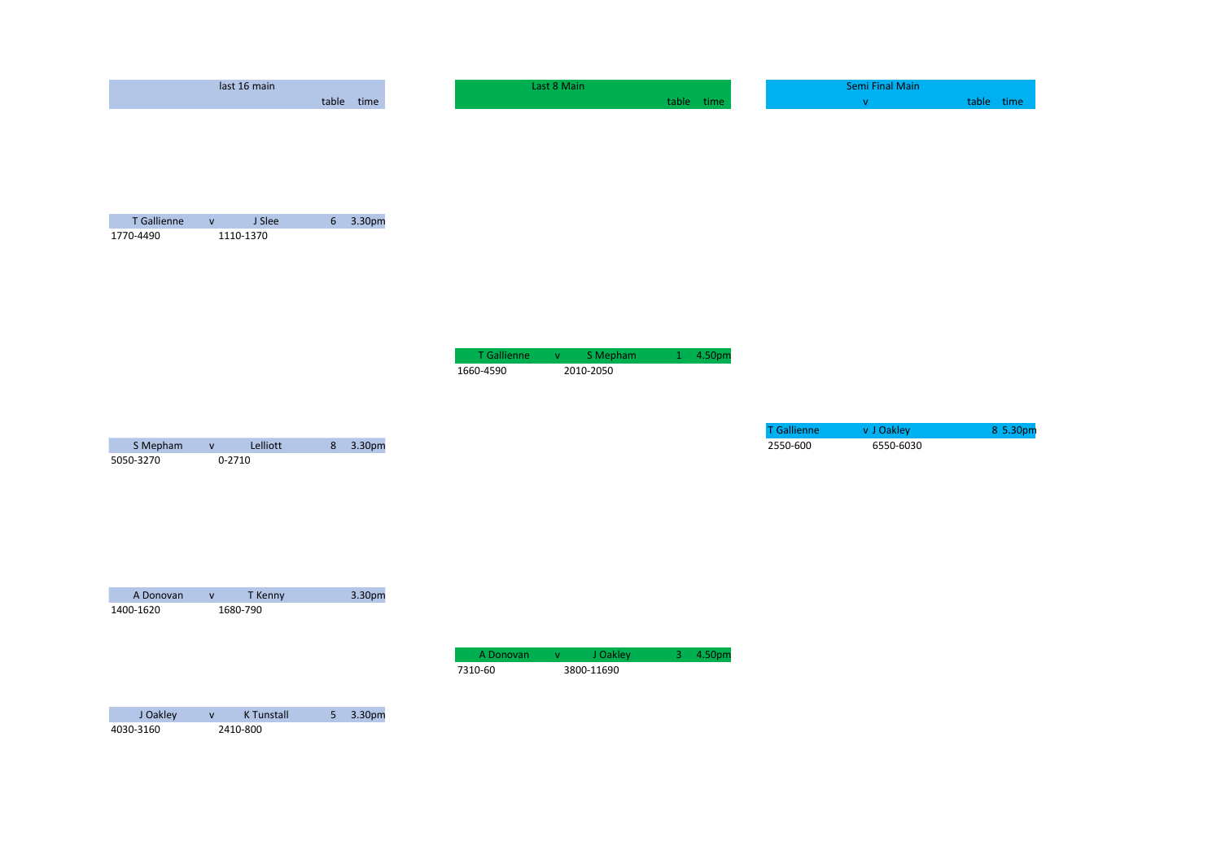|                          | last 16 main                        |            |                          | Last 8 Main                                   |            |                    | Semi Final Main |            |
|--------------------------|-------------------------------------|------------|--------------------------|-----------------------------------------------|------------|--------------------|-----------------|------------|
|                          |                                     | table time |                          |                                               | table time |                    | $\mathbf V$     | table time |
|                          |                                     |            |                          |                                               |            |                    |                 |            |
| T Gallienne<br>1770-4490 | J Slee<br>$\mathsf{V}$<br>1110-1370 | 6 3.30pm   |                          |                                               |            |                    |                 |            |
|                          |                                     |            | T Gallienne<br>1660-4590 | S Mepham<br>$\mathsf{V}^-$<br>2010-2050       | 1 4.50pm   |                    |                 |            |
|                          |                                     |            |                          |                                               |            | <b>T</b> Gallienne | v J Oakley      | 8 5.30pm   |
| S Mepham                 | Lelliott<br>$\mathbf V$             | 8 3.30pm   |                          |                                               |            | 2550-600           | 6550-6030       |            |
| 5050-3270                | $0 - 2710$                          |            |                          |                                               |            |                    |                 |            |
| A Donovan                | T Kenny<br>$\mathbf V$              | 3.30pm     |                          |                                               |            |                    |                 |            |
| 1400-1620                | 1680-790                            |            |                          |                                               |            |                    |                 |            |
|                          |                                     |            | A Donovan<br>7310-60     | J Oakley<br>$\mathbf{V}^{\top}$<br>3800-11690 | 3 4.50pm   |                    |                 |            |
| J Oakley                 | K Tunstall<br>$\mathsf{V}$          | 5 3.30pm   |                          |                                               |            |                    |                 |            |
| 4030-3160                | 2410-800                            |            |                          |                                               |            |                    |                 |            |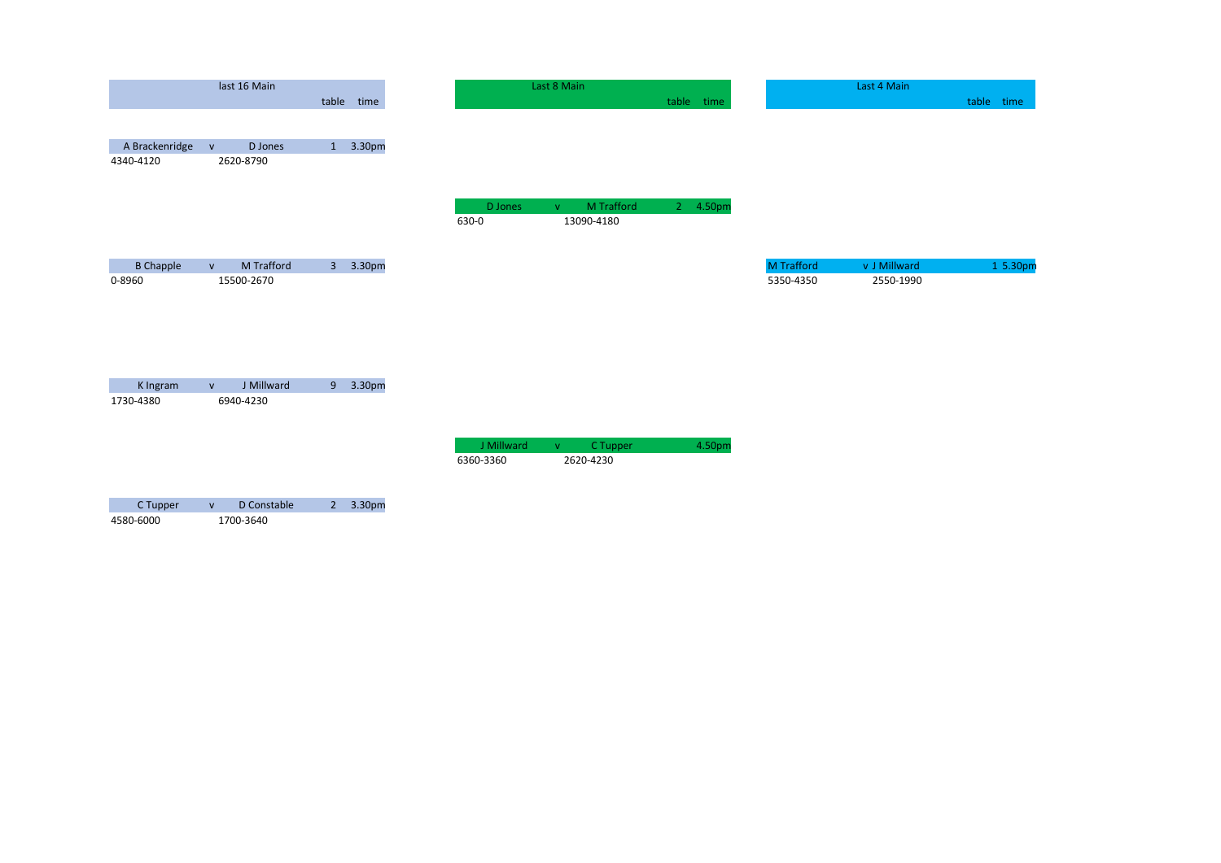|                  |               | last 16 Main           |            |
|------------------|---------------|------------------------|------------|
|                  |               |                        | table time |
|                  |               |                        |            |
| A Brackenridge   | ${\mathsf V}$ | D Jones                | 1 3.30pm   |
| 4340-4120        |               | 2620-8790              |            |
|                  |               |                        |            |
|                  |               |                        |            |
|                  |               |                        |            |
|                  |               |                        |            |
|                  |               |                        |            |
| <b>B</b> Chapple | $\mathsf{v}$  | M Trafford             | 3 3.30pm   |
| 0-8960           |               | 15500-2670             |            |
|                  |               |                        |            |
|                  |               |                        |            |
|                  |               |                        |            |
|                  |               |                        |            |
|                  |               |                        |            |
| K Ingram         | $\mathsf{V}$  | J Millward             | 9 3.30pm   |
| 1730-4380        |               | 6940-4230              |            |
|                  |               |                        |            |
|                  |               |                        |            |
|                  |               |                        |            |
|                  |               |                        |            |
|                  |               | C.Tunnor u D.Constable | 2.20cm     |

| C Tupper  | D Constable | $2, 3.30 \text{pm}$ |
|-----------|-------------|---------------------|
| 4580-6000 | 1700-3640   |                     |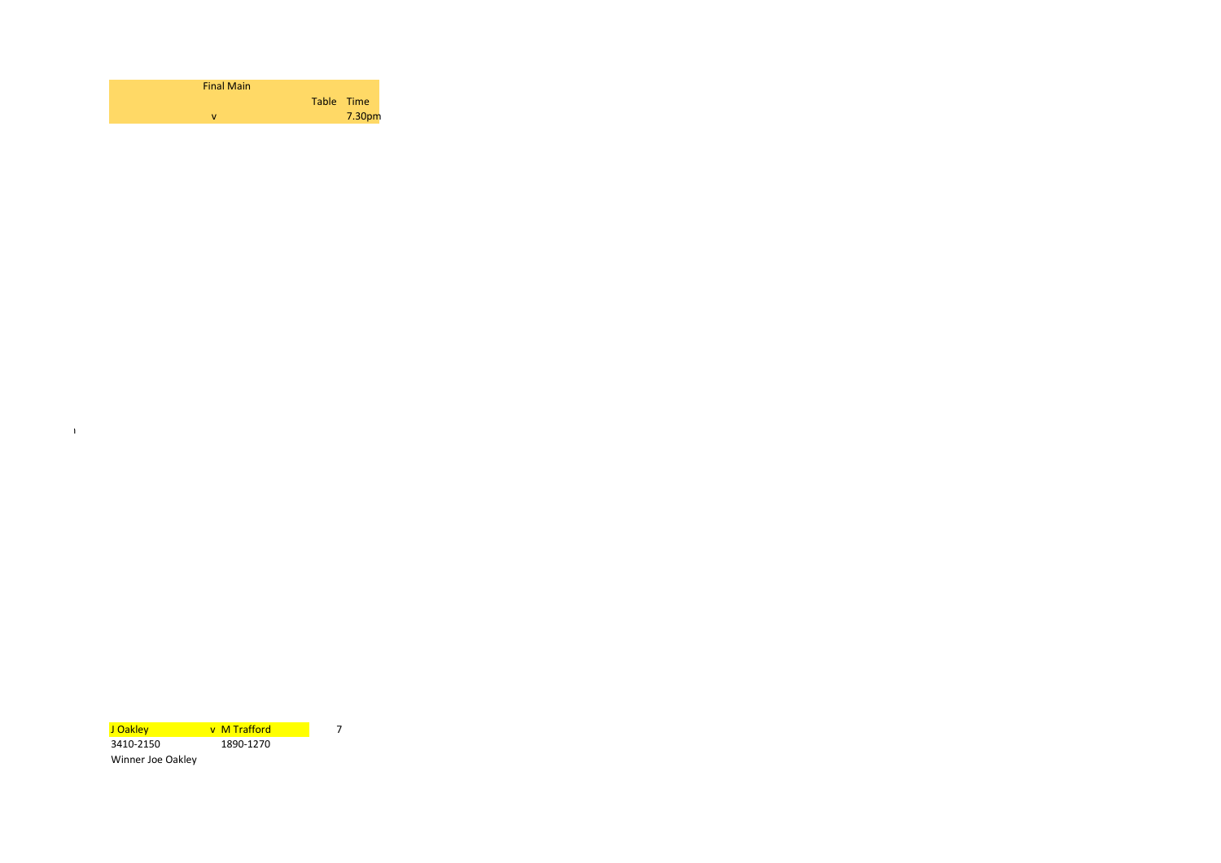| <b>Final Main</b> |            |
|-------------------|------------|
|                   | Table Time |
|                   | 7.30pm     |

J Oakley v M Trafford <mark>J Oakley 7</mark><br>3410-2150 1890-1270 3410-2150 1890-1270 Winner Joe Oakley

 $\bar{1}$